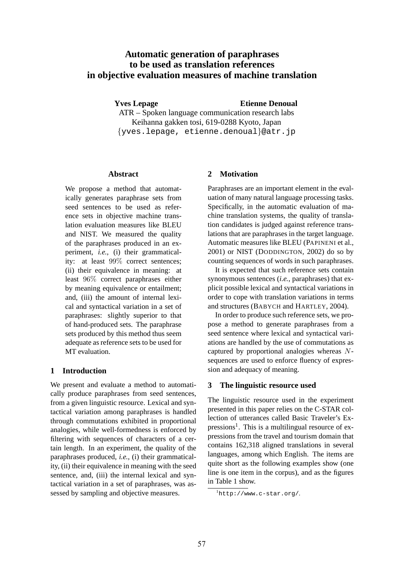# **Automatic generation of paraphrases to be used as translation references in objective evaluation measures of machine translation**

**Yves Lepage Construction Etienne Denoual** 

ATR – Spoken language communication research labs Keihanna gakken tosi, 619-0288 Kyoto, Japan {yves.lepage, etienne.denoual}@atr.jp

### **Abstract**

We propose a method that automatically generates paraphrase sets from seed sentences to be used as reference sets in objective machine translation evaluation measures like BLEU and NIST. We measured the quality of the paraphrases produced in an experiment, *i.e.*, (i) their grammaticality: at least 99% correct sentences; (ii) their equivalence in meaning: at least 96% correct paraphrases either by meaning equivalence or entailment; and, (iii) the amount of internal lexical and syntactical variation in a set of paraphrases: slightly superior to that of hand-produced sets. The paraphrase sets produced by this method thus seem adequate as reference sets to be used for MT evaluation.

## **1 Introduction**

We present and evaluate a method to automatically produce paraphrases from seed sentences, from a given linguistic resource. Lexical and syntactical variation among paraphrases is handled through commutations exhibited in proportional analogies, while well-formedness is enforced by filtering with sequences of characters of a certain length. In an experiment, the quality of the paraphrases produced, *i.e.*, (i) their grammaticality, (ii) their equivalence in meaning with the seed sentence, and, (iii) the internal lexical and syntactical variation in a set of paraphrases, was assessed by sampling and objective measures.

## **2 Motivation**

Paraphrases are an important element in the evaluation of many natural language processing tasks. Specifically, in the automatic evaluation of machine translation systems, the quality of translation candidates is judged against reference translations that are paraphrases in the target language. Automatic measures like BLEU (PAPINENI et al., 2001) or NIST (DODDINGTON, 2002) do so by counting sequences of words in such paraphrases.

It is expected that such reference sets contain synonymous sentences (*i.e.*, paraphrases) that explicit possible lexical and syntactical variations in order to cope with translation variations in terms and structures (BABYCH and HARTLEY, 2004).

In order to produce such reference sets, we propose a method to generate paraphrases from a seed sentence where lexical and syntactical variations are handled by the use of commutations as captured by proportional analogies whereas Nsequences are used to enforce fluency of expression and adequacy of meaning.

## **3 The linguistic resource used**

The linguistic resource used in the experiment presented in this paper relies on the C-STAR collection of utterances called Basic Traveler's Expressions<sup>1</sup>. This is a multilingual resource of expressions from the travel and tourism domain that contains 162,318 aligned translations in several languages, among which English. The items are quite short as the following examples show (one line is one item in the corpus), and as the figures in Table 1 show.

<sup>1</sup>http://www.c-star.org/.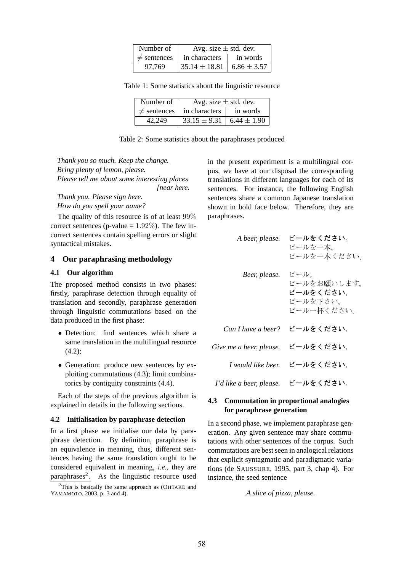| Number of        | Avg. size $\pm$ std. dev.         |          |  |  |  |
|------------------|-----------------------------------|----------|--|--|--|
| $\neq$ sentences | in characters                     | in words |  |  |  |
| 97.769           | $35.14 \pm 18.81$ 6.86 $\pm$ 3.57 |          |  |  |  |

Table 1: Some statistics about the linguistic resource

| Number of        | Avg. size $\pm$ std. dev.          |          |  |  |  |
|------------------|------------------------------------|----------|--|--|--|
| $\neq$ sentences | in characters                      | in words |  |  |  |
| 42.249           | $33.15 \pm 9.31$   6.44 $\pm$ 1.90 |          |  |  |  |

Table 2: Some statistics about the paraphrases produced

*Thank you so much. Keep the change. Bring plenty of lemon, please. Please tell me about some interesting places [near here.*

*Thank you. Please sign here. How do you spell your name?*

The quality of this resource is of at least 99% correct sentences (p-value  $= 1.92\%$ ). The few incorrect sentences contain spelling errors or slight syntactical mistakes.

### **4 Our paraphrasing methodology**

### **4.1 Our algorithm**

The proposed method consists in two phases: firstly, paraphrase detection through equality of translation and secondly, paraphrase generation through linguistic commutations based on the data produced in the first phase:

- Detection: find sentences which share a same translation in the multilingual resource (4.2);
- Generation: produce new sentences by exploiting commutations (4.3); limit combinatorics by contiguity constraints (4.4).

Each of the steps of the previous algorithm is explained in details in the following sections.

### **4.2 Initialisation by paraphrase detection**

In a first phase we initialise our data by paraphrase detection. By definition, paraphrase is an equivalence in meaning, thus, different sentences having the same translation ought to be considered equivalent in meaning, *i.e.*, they are paraphrases $2$ . . As the linguistic resource used

 $2$ This is basically the same approach as (OHTAKE and YAMAMOTO, 2003, p. 3 and 4).

in the present experiment is a multilingual corpus, we have at our disposal the corresponding translations in different languages for each of its sentences. For instance, the following English sentences share a common Japanese translation shown in bold face below. Therefore, they are paraphrases.

| A beer, please.          | ビールをください。<br>ビールを一本。<br>ビールを一本ください。                        |
|--------------------------|------------------------------------------------------------|
| Beer, please.            | ビール。<br>ビールをお願いします。<br>ビールをください。<br>ビールを下さい。<br>ビール一杯ください。 |
| Can I have a beer?       | ビールをください。                                                  |
| Give me a beer, please.  | ビールをください。                                                  |
| I would like beer.       | ビールをください。                                                  |
| I'd like a beer, please. | ビールをください。                                                  |

### **4.3 Commutation in proportional analogies for paraphrase generation**

In a second phase, we implement paraphrase generation. Any given sentence may share commutations with other sentences of the corpus. Such commutations are best seen in analogical relations that explicit syntagmatic and paradigmatic variations (de SAUSSURE, 1995, part 3, chap 4). For instance, the seed sentence

*A slice of pizza, please.*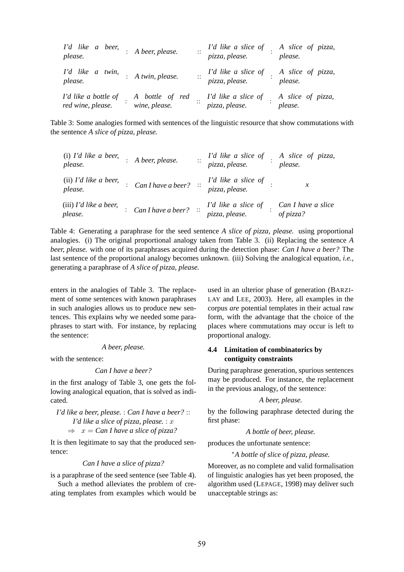| I'd like a beer,<br>please.               | : A beer, please.                | $\ddotsc$ | I'd like a slice of<br>pizza, please. | A slice of pizza,<br>please. |
|-------------------------------------------|----------------------------------|-----------|---------------------------------------|------------------------------|
| I'd like a twin,<br>please.               | : A twin, please.                |           | I'd like a slice of<br>pizza, please. | A slice of pizza,<br>please. |
| I'd like a bottle of<br>red wine, please. | A bottle of red<br>wine, please. | . .       | I'd like a slice of<br>pizza, please. | A slice of pizza,<br>please. |

Table 3: Some analogies formed with sentences of the linguistic resource that show commutations with the sentence *A slice of pizza, please.*

| $(i)$ I'd like a beer,<br>please.   | : A beer, please.                            | $\vdots$ | I'd like a slice of<br>pizza, please.                                     | A slice of pizza,<br>please.    |
|-------------------------------------|----------------------------------------------|----------|---------------------------------------------------------------------------|---------------------------------|
| $(ii)$ I'd like a beer,<br>please.  |                                              |          | : Can I have a beer? $\therefore$ I'd like a slice of :<br>pizza, please. | $\mathcal{X}$                   |
| $(iii)$ I'd like a beer,<br>please. | $\therefore$ Can I have a beer? $\therefore$ |          | I'd like a slice of<br>pizza, please.                                     | Can I have a slice<br>of pizza? |

Table 4: Generating a paraphrase for the seed sentence *A slice of pizza, please.* using proportional analogies. (i) The original proportional analogy taken from Table 3. (ii) Replacing the sentence *A beer, please.* with one of its paraphrases acquired during the detection phase: *Can I have a beer?* The last sentence of the proportional analogy becomes unknown. (iii) Solving the analogical equation, *i.e.*, generating a paraphrase of *A slice of pizza, please.*

enters in the analogies of Table 3. The replacement of some sentences with known paraphrases in such analogies allows us to produce new sentences. This explains why we needed some paraphrases to start with. For instance, by replacing the sentence:

*A beer, please.*

with the sentence:

*Can I have a beer?*

in the first analogy of Table 3, one gets the following analogical equation, that is solved as indicated.

*I'd like a beer, please.* : *Can I have a beer?* :: *I'd like a slice of pizza, please.* : x  $\Rightarrow x = Can I$  have a slice of pizza?

It is then legitimate to say that the produced sentence:

*Can I have a slice of pizza?*

is a paraphrase of the seed sentence (see Table 4).

Such a method alleviates the problem of creating templates from examples which would be used in an ulterior phase of generation (BARZI-LAY and LEE, 2003). Here, all examples in the corpus *are* potential templates in their actual raw form, with the advantage that the choice of the places where commutations may occur is left to proportional analogy.

## **4.4 Limitation of combinatorics by contiguity constraints**

During paraphrase generation, spurious sentences may be produced. For instance, the replacement in the previous analogy, of the sentence:

### *A beer, please.*

by the following paraphrase detected during the first phase:

*A bottle of beer, please.*

produces the unfortunate sentence:

<sup>∗</sup>*A bottle of slice of pizza, please.*

Moreover, as no complete and valid formalisation of linguistic analogies has yet been proposed, the algorithm used (LEPAGE, 1998) may deliver such unacceptable strings as: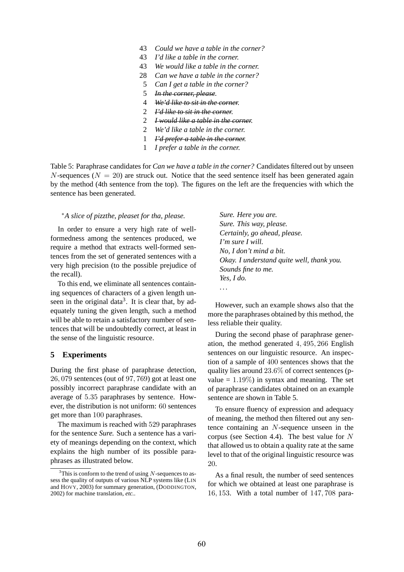- 43 *Could we have a table in the corner?*
- 43 *I'd like a table in the corner.*
- 43 *We would like a table in the corner.*
- 28 *Can we have a table in the corner?*
- 5 *Can I get a table in the corner?*
- 5 *In the corner, please.*
- 4 *We'd like to sit in the corner.*
- 2 *I'd like to sit in the corner.*
- 2 *I would like a table in the corner.*
- 2 *We'd like a table in the corner.*
- 1 *I'd prefer a table in the corner.*
- 1 *I prefer a table in the corner.*

Table 5: Paraphrase candidates for *Can we have a table in the corner?* Candidates filtered out by unseen N-sequences ( $N = 20$ ) are struck out. Notice that the seed sentence itself has been generated again by the method (4th sentence from the top). The figures on the left are the frequencies with which the sentence has been generated.

### <sup>∗</sup>*A slice of pizzthe, pleaset for tha, please.*

In order to ensure a very high rate of wellformedness among the sentences produced, we require a method that extracts well-formed sentences from the set of generated sentences with a very high precision (to the possible prejudice of the recall).

To this end, we eliminate all sentences containing sequences of characters of a given length unseen in the original data<sup>3</sup>. It is clear that, by adequately tuning the given length, such a method will be able to retain a satisfactory number of sentences that will be undoubtedly correct, at least in the sense of the linguistic resource.

### **5 Experiments**

During the first phase of paraphrase detection, 26, 079 sentences (out of 97, 769) got at least one possibly incorrect paraphrase candidate with an average of 5.35 paraphrases by sentence. However, the distribution is not uniform: 60 sentences get more than 100 paraphrases.

The maximum is reached with 529 paraphrases for the sentence *Sure.* Such a sentence has a variety of meanings depending on the context, which explains the high number of its possible paraphrases as illustrated below.

*Sure. Here you are. Sure. This way, please. Certainly, go ahead, please. I'm sure I will. No, I don't mind a bit. Okay. I understand quite well, thank you. Sounds fine to me. Yes, I do.* . . .

However, such an example shows also that the more the paraphrases obtained by this method, the less reliable their quality.

During the second phase of paraphrase generation, the method generated 4, 495, 266 English sentences on our linguistic resource. An inspection of a sample of 400 sentences shows that the quality lies around 23.6% of correct sentences (pvalue  $= 1.19\%$ ) in syntax and meaning. The set of paraphrase candidates obtained on an example sentence are shown in Table 5.

To ensure fluency of expression and adequacy of meaning, the method then filtered out any sentence containing an N-sequence unseen in the corpus (see Section 4.4). The best value for N that allowed us to obtain a quality rate at the same level to that of the original linguistic resource was 20.

As a final result, the number of seed sentences for which we obtained at least one paraphrase is 16, 153. With a total number of 147, 708 para-

 $3$ This is conform to the trend of using N-sequences to assess the quality of outputs of various NLP systems like (LIN and HOVY, 2003) for summary generation, (DODDINGTON, 2002) for machine translation, *etc.*.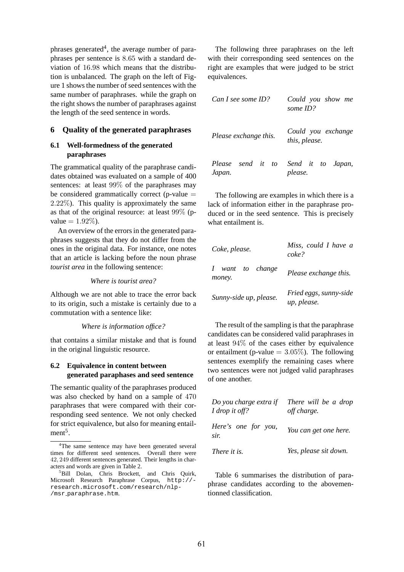phrases generated<sup>4</sup>, the average number of paraphrases per sentence is 8.65 with a standard deviation of 16.98 which means that the distribution is unbalanced. The graph on the left of Figure 1 shows the number of seed sentences with the same number of paraphrases. while the graph on the right shows the number of paraphrases against the length of the seed sentence in words.

## **6 Quality of the generated paraphrases**

## **6.1 Well-formedness of the generated paraphrases**

The grammatical quality of the paraphrase candidates obtained was evaluated on a sample of 400 sentences: at least 99% of the paraphrases may be considered grammatically correct (p-value  $=$ 2.22%). This quality is approximately the same as that of the original resource: at least 99% (pvalue  $= 1.92\%$ ).

An overview of the errors in the generated paraphrases suggests that they do not differ from the ones in the original data. For instance, one notes that an article is lacking before the noun phrase *tourist area* in the following sentence:

*Where is tourist area?*

Although we are not able to trace the error back to its origin, such a mistake is certainly due to a commutation with a sentence like:

### *Where is information office?*

that contains a similar mistake and that is found in the original linguistic resource.

## **6.2 Equivalence in content between generated paraphases and seed sentence**

The semantic quality of the paraphrases produced was also checked by hand on a sample of 470 paraphrases that were compared with their corresponding seed sentence. We not only checked for strict equivalence, but also for meaning entail $ment<sup>5</sup>$ .

The following three paraphrases on the left with their corresponding seed sentences on the right are examples that were judged to be strict equivalences.

| Can I see some ID?                            | Could you show me<br>some $ID$ ?    |
|-----------------------------------------------|-------------------------------------|
| Please exchange this.                         | Could you exchange<br>this, please. |
| Please send it to Send it to Japan,<br>Japan. | please.                             |

The following are examples in which there is a lack of information either in the paraphrase produced or in the seed sentence. This is precisely what entailment is.

| Coke, please.              | Miss, could I have a<br>coke?         |  |
|----------------------------|---------------------------------------|--|
| I want to change<br>money. | Please exchange this.                 |  |
| Sunny-side up, please.     | Fried eggs, sunny-side<br>up, please. |  |

The result of the sampling is that the paraphrase candidates can be considered valid paraphrases in at least 94% of the cases either by equivalence or entailment (p-value  $= 3.05\%$ ). The following sentences exemplify the remaining cases where two sentences were not judged valid paraphrases of one another.

| Do you charge extra if<br>I drop it off? | There will be a drop<br>off charge. |  |  |
|------------------------------------------|-------------------------------------|--|--|
| Here's one for you,<br>sir.              | You can get one here.               |  |  |
| There it is.                             | Yes, please sit down.               |  |  |

Table 6 summarises the distribution of paraphrase candidates according to the abovementionned classification.

<sup>&</sup>lt;sup>4</sup>The same sentence may have been generated several times for different seed sentences. Overall there were 42, 249 different sentences generated. Their lengths in characters and words are given in Table 2.

<sup>&</sup>lt;sup>5</sup>Bill Dolan, Chris Brockett, and Chris Quirk, Microsoft Research Paraphrase Corpus, http:// research.microsoft.com/research/nlp- /msr\_paraphrase.htm.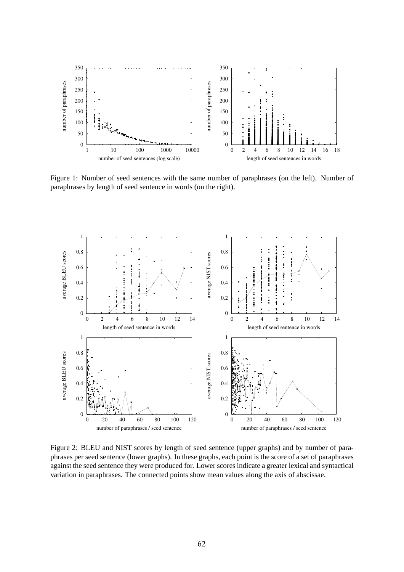

Figure 1: Number of seed sentences with the same number of paraphrases (on the left). Number of paraphrases by length of seed sentence in words (on the right).



Figure 2: BLEU and NIST scores by length of seed sentence (upper graphs) and by number of paraphrases per seed sentence (lower graphs). In these graphs, each point is the score of a set of paraphrases against the seed sentence they were produced for. Lower scores indicate a greater lexical and syntactical variation in paraphrases. The connected points show mean values along the axis of abscissae.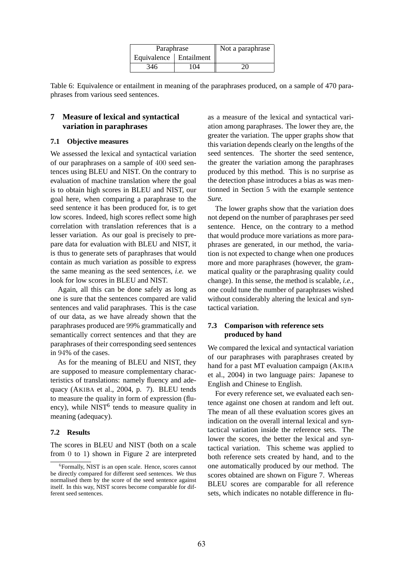| Paraphrase               | Not a paraphrase |    |
|--------------------------|------------------|----|
| Equivalence   Entailment |                  |    |
| 346                      | 104              | 20 |

Table 6: Equivalence or entailment in meaning of the paraphrases produced, on a sample of 470 paraphrases from various seed sentences.

## **7 Measure of lexical and syntactical variation in paraphrases**

### **7.1 Objective measures**

We assessed the lexical and syntactical variation of our paraphrases on a sample of 400 seed sentences using BLEU and NIST. On the contrary to evaluation of machine translation where the goal is to obtain high scores in BLEU and NIST, our goal here, when comparing a paraphrase to the seed sentence it has been produced for, is to get low scores. Indeed, high scores reflect some high correlation with translation references that is a lesser variation. As our goal is precisely to prepare data for evaluation with BLEU and NIST, it is thus to generate sets of paraphrases that would contain as much variation as possible to express the same meaning as the seed sentences, *i.e.* we look for low scores in BLEU and NIST.

Again, all this can be done safely as long as one is sure that the sentences compared are valid sentences and valid paraphrases. This is the case of our data, as we have already shown that the paraphrases produced are 99% grammatically and semantically correct sentences and that they are paraphrases of their corresponding seed sentences in 94% of the cases.

As for the meaning of BLEU and NIST, they are supposed to measure complementary characteristics of translations: namely fluency and adequacy (AKIBA et al., 2004, p. 7). BLEU tends to measure the quality in form of expression (fluency), while NIST<sup>6</sup> tends to measure quality in meaning (adequacy).

#### **7.2 Results**

The scores in BLEU and NIST (both on a scale from 0 to 1) shown in Figure 2 are interpreted as a measure of the lexical and syntactical variation among paraphrases. The lower they are, the greater the variation. The upper graphs show that this variation depends clearly on the lengths of the seed sentences. The shorter the seed sentence, the greater the variation among the paraphrases produced by this method. This is no surprise as the detection phase introduces a bias as was mentionned in Section 5 with the example sentence *Sure.*

The lower graphs show that the variation does not depend on the number of paraphrases per seed sentence. Hence, on the contrary to a method that would produce more variations as more paraphrases are generated, in our method, the variation is not expected to change when one produces more and more paraphrases (however, the grammatical quality or the paraphrasing quality could change). In this sense, the method is scalable, *i.e.*, one could tune the number of paraphrases wished without considerably altering the lexical and syntactical variation.

## **7.3 Comparison with reference sets produced by hand**

We compared the lexical and syntactical variation of our paraphrases with paraphrases created by hand for a past MT evaluation campaign (AKIBA et al., 2004) in two language pairs: Japanese to English and Chinese to English.

For every reference set, we evaluated each sentence against one chosen at random and left out. The mean of all these evaluation scores gives an indication on the overall internal lexical and syntactical variation inside the reference sets. The lower the scores, the better the lexical and syntactical variation. This scheme was applied to both reference sets created by hand, and to the one automatically produced by our method. The scores obtained are shown on Figure 7. Whereas BLEU scores are comparable for all reference sets, which indicates no notable difference in flu-

<sup>6</sup> Formally, NIST is an open scale. Hence, scores cannot be directly compared for different seed sentences. We thus normalised them by the score of the seed sentence against itself. In this way, NIST scores become comparable for different seed sentences.